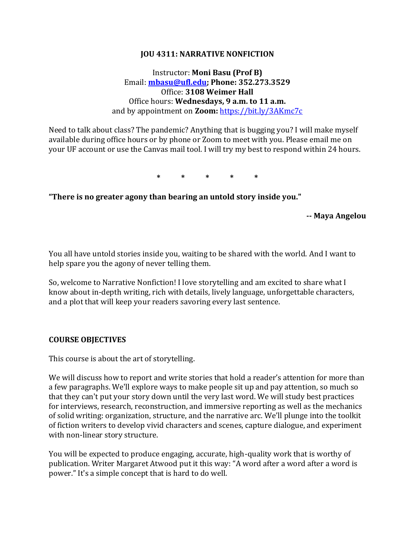#### **JOU 4311: NARRATIVE NONFICTION**

### Instructor: **Moni Basu (Prof B)** Email: **[mbasu@ufl.edu;](mailto:mbasu@ufl.edu) Phone: 352.273.3529** Office: **3108 Weimer Hall** Office hours: **Wednesdays, 9 a.m. to 11 a.m.**  and by appointment on **Zoom:** <https://bit.ly/3AKmc7c>

Need to talk about class? The pandemic? Anything that is bugging you? I will make myself available during office hours or by phone or Zoom to meet with you. Please email me on your UF account or use the Canvas mail tool. I will try my best to respond within 24 hours.

**\* \* \* \* \***

**"There is no greater agony than bearing an untold story inside you."** 

**-- Maya Angelou**

You all have untold stories inside you, waiting to be shared with the world. And I want to help spare you the agony of never telling them.

So, welcome to Narrative Nonfiction! I love storytelling and am excited to share what I know about in-depth writing, rich with details, lively language, unforgettable characters, and a plot that will keep your readers savoring every last sentence.

#### **COURSE OBJECTIVES**

This course is about the art of storytelling.

We will discuss how to report and write stories that hold a reader's attention for more than a few paragraphs. We'll explore ways to make people sit up and pay attention, so much so that they can't put your story down until the very last word. We will study best practices for interviews, research, reconstruction, and immersive reporting as well as the mechanics of solid writing: organization, structure, and the narrative arc. We'll plunge into the toolkit of fiction writers to develop vivid characters and scenes, capture dialogue, and experiment with non-linear story structure.

You will be expected to produce engaging, accurate, high-quality work that is worthy of publication. Writer Margaret Atwood put it this way: "A word after a word after a word is power." It's a simple concept that is hard to do well.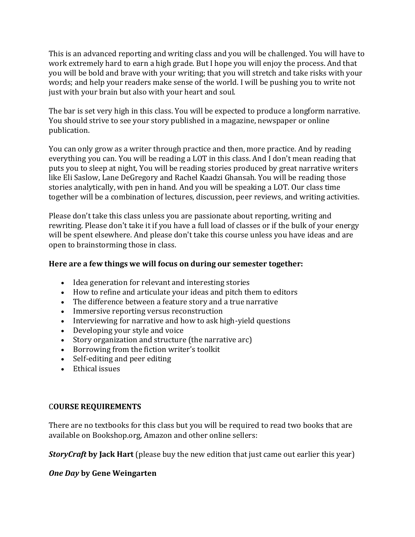This is an advanced reporting and writing class and you will be challenged. You will have to work extremely hard to earn a high grade. But I hope you will enjoy the process. And that you will be bold and brave with your writing; that you will stretch and take risks with your words; and help your readers make sense of the world. I will be pushing you to write not just with your brain but also with your heart and soul.

The bar is set very high in this class. You will be expected to produce a longform narrative. You should strive to see your story published in a magazine, newspaper or online publication.

You can only grow as a writer through practice and then, more practice. And by reading everything you can. You will be reading a LOT in this class. And I don't mean reading that puts you to sleep at night, You will be reading stories produced by great narrative writers like Eli Saslow, Lane DeGregory and Rachel Kaadzi Ghansah. You will be reading those stories analytically, with pen in hand. And you will be speaking a LOT. Our class time together will be a combination of lectures, discussion, peer reviews, and writing activities.

Please don't take this class unless you are passionate about reporting, writing and rewriting. Please don't take it if you have a full load of classes or if the bulk of your energy will be spent elsewhere. And please don't take this course unless you have ideas and are open to brainstorming those in class.

## **Here are a few things we will focus on during our semester together:**

- Idea generation for relevant and interesting stories
- How to refine and articulate your ideas and pitch them to editors
- The difference between a feature story and a true narrative
- Immersive reporting versus reconstruction
- Interviewing for narrative and how to ask high-yield questions
- Developing your style and voice
- Story organization and structure (the narrative arc)
- Borrowing from the fiction writer's toolkit
- Self-editing and peer editing
- Ethical issues

### C**OURSE REQUIREMENTS**

There are no textbooks for this class but you will be required to read two books that are available on Bookshop.org, Amazon and other online sellers:

*StoryCraft* **by Jack Hart** (please buy the new edition that just came out earlier this year)

### *One Day* **by Gene Weingarten**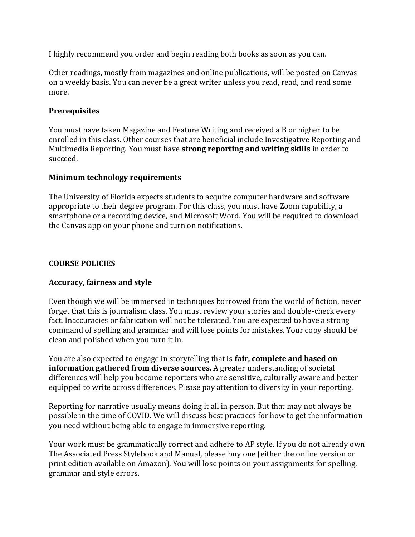I highly recommend you order and begin reading both books as soon as you can.

Other readings, mostly from magazines and online publications, will be posted on Canvas on a weekly basis. You can never be a great writer unless you read, read, and read some more.

### **Prerequisites**

You must have taken Magazine and Feature Writing and received a B or higher to be enrolled in this class. Other courses that are beneficial include Investigative Reporting and Multimedia Reporting. You must have **strong reporting and writing skills** in order to succeed.

#### **Minimum technology requirements**

The University of Florida expects students to acquire computer hardware and software appropriate to their degree program. For this class, you must have Zoom capability, a smartphone or a recording device, and Microsoft Word. You will be required to download the Canvas app on your phone and turn on notifications.

#### **COURSE POLICIES**

### **Accuracy, fairness and style**

Even though we will be immersed in techniques borrowed from the world of fiction, never forget that this is journalism class. You must review your stories and double-check every fact. Inaccuracies or fabrication will not be tolerated. You are expected to have a strong command of spelling and grammar and will lose points for mistakes. Your copy should be clean and polished when you turn it in.

You are also expected to engage in storytelling that is **fair, complete and based on information gathered from diverse sources.** A greater understanding of societal differences will help you become reporters who are sensitive, culturally aware and better equipped to write across differences. Please pay attention to diversity in your reporting.

Reporting for narrative usually means doing it all in person. But that may not always be possible in the time of COVID. We will discuss best practices for how to get the information you need without being able to engage in immersive reporting.

Your work must be grammatically correct and adhere to AP style. If you do not already own The Associated Press Stylebook and Manual, please buy one (either the online version or print edition available on Amazon). You will lose points on your assignments for spelling, grammar and style errors.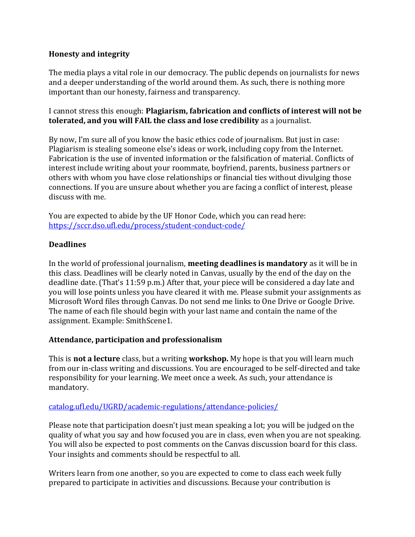### **Honesty and integrity**

The media plays a vital role in our democracy. The public depends on journalists for news and a deeper understanding of the world around them. As such, there is nothing more important than our honesty, fairness and transparency.

I cannot stress this enough: **Plagiarism, fabrication and conflicts of interest will not be tolerated, and you will FAIL the class and lose credibility** as a journalist.

By now, I'm sure all of you know the basic ethics code of journalism. But just in case: Plagiarism is stealing someone else's ideas or work, including copy from the Internet. Fabrication is the use of invented information or the falsification of material. Conflicts of interest include writing about your roommate, boyfriend, parents, business partners or others with whom you have close relationships or financial ties without divulging those connections. If you are unsure about whether you are facing a conflict of interest, please discuss with me.

You are expected to abide by the UF Honor Code, which you can read here: <https://sccr.dso.ufl.edu/process/student-conduct-code/>

## **Deadlines**

In the world of professional journalism, **meeting deadlines is mandatory** as it will be in this class. Deadlines will be clearly noted in Canvas, usually by the end of the day on the deadline date. (That's 11:59 p.m.) After that, your piece will be considered a day late and you will lose points unless you have cleared it with me. Please submit your assignments as Microsoft Word files through Canvas. Do not send me links to One Drive or Google Drive. The name of each file should begin with your last name and contain the name of the assignment. Example: SmithScene1.

### **Attendance, participation and professionalism**

This is **not a lecture** class, but a writing **workshop.** My hope is that you will learn much from our in-class writing and discussions. You are encouraged to be self-directed and take responsibility for your learning. We meet once a week. As such, your attendance is mandatory.

### [catalog.ufl.edu/UGRD/academic-regulations/attendance-policies/](http://catalog.ufl.edu/UGRD/academic-regulations/attendance-policies/)

Please note that participation doesn't just mean speaking a lot; you will be judged on the quality of what you say and how focused you are in class, even when you are not speaking. You will also be expected to post comments on the Canvas discussion board for this class. Your insights and comments should be respectful to all.

Writers learn from one another, so you are expected to come to class each week fully prepared to participate in activities and discussions. Because your contribution is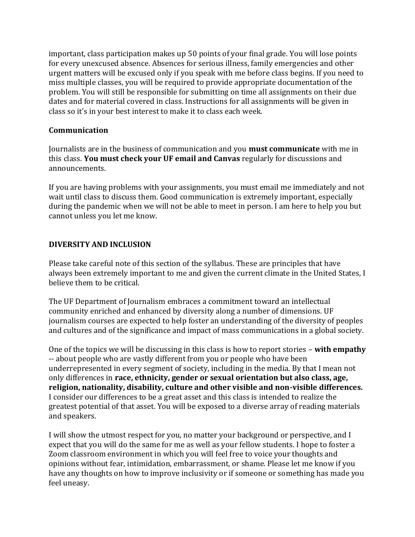important, class participation makes up 50 points of your final grade. You will lose points for every unexcused absence. Absences for serious illness, family emergencies and other urgent matters will be excused only if you speak with me before class begins. If you need to miss multiple classes, you will be required to provide appropriate documentation of the problem. You will still be responsible for submitting on time all assignments on their due dates and for material covered in class. Instructions for all assignments will be given in class so it's in your best interest to make it to class each week.

### **Communication**

Journalists are in the business of communication and you **must communicate** with me in this class. **You must check your UF email and Canvas** regularly for discussions and announcements.

If you are having problems with your assignments, you must email me immediately and not wait until class to discuss them. Good communication is extremely important, especially during the pandemic when we will not be able to meet in person. I am here to help you but cannot unless you let me know.

# **DIVERSITY AND INCLUSION**

Please take careful note of this section of the syllabus. These are principles that have always been extremely important to me and given the current climate in the United States, I believe them to be critical.

The UF Department of Journalism embraces a commitment toward an intellectual community enriched and enhanced by diversity along a number of dimensions. UF journalism courses are expected to help foster an understanding of the diversity of peoples and cultures and of the significance and impact of mass communications in a global society.

One of the topics we will be discussing in this class is how to report stories – **with empathy** -- about people who are vastly different from you or people who have been underrepresented in every segment of society, including in the media. By that I mean not only differences in **race, ethnicity, gender or sexual orientation but also class, age, religion, nationality, disability, culture and other visible and non-visible differences.** I consider our differences to be a great asset and this class is intended to realize the greatest potential of that asset. You will be exposed to a diverse array of reading materials and speakers.

I will show the utmost respect for you, no matter your background or perspective, and I expect that you will do the same for me as well as your fellow students. I hope to foster a Zoom classroom environment in which you will feel free to voice your thoughts and opinions without fear, intimidation, embarrassment, or shame. Please let me know if you have any thoughts on how to improve inclusivity or if someone or something has made you feel uneasy.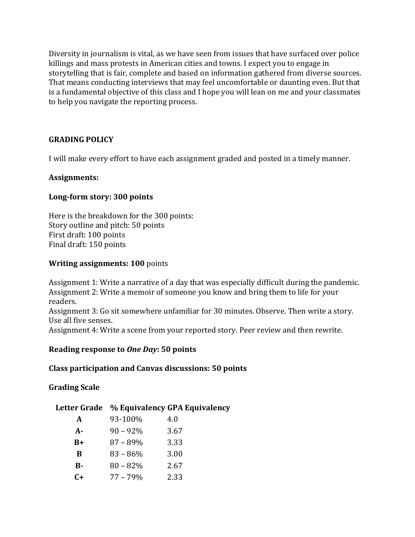Diversity in journalism is vital, as we have seen from issues that have surfaced over police killings and mass protests in American cities and towns. I expect you to engage in storytelling that is fair, complete and based on information gathered from diverse sources. That means conducting interviews that may feel uncomfortable or daunting even. But that is a fundamental objective of this class and I hope you will lean on me and your classmates to help you navigate the reporting process.

## **GRADING POLICY**

I will make every effort to have each assignment graded and posted in a timely manner.

#### **Assignments:**

### **Long-form story: 300 points**

Here is the breakdown for the 300 points: Story outline and pitch: 50 points First draft: 100 points Final draft: 150 points

#### **Writing assignments: 100** points

Assignment 1: Write a narrative of a day that was especially difficult during the pandemic. Assignment 2: Write a memoir of someone you know and bring them to life for your readers. Assignment 3: Go sit somewhere unfamiliar for 30 minutes. Observe. Then write a story. Use all five senses. Assignment 4: Write a scene from your reported story. Peer review and then rewrite.

### **Reading response to** *One Day***: 50 points**

#### **Class participation and Canvas discussions: 50 points**

### **Grading Scale**

|          |             | Letter Grade % Equivalency GPA Equivalency |
|----------|-------------|--------------------------------------------|
| A        | 93-100%     | 4.0                                        |
| A-       | $90 - 92\%$ | 3.67                                       |
| $B+$     | $87 - 89\%$ | 3.33                                       |
| B        | $83 - 86\%$ | 3.00                                       |
| $\bf{B}$ | $80 - 82%$  | 2.67                                       |
| $C+$     | $77 - 79\%$ | 2.33                                       |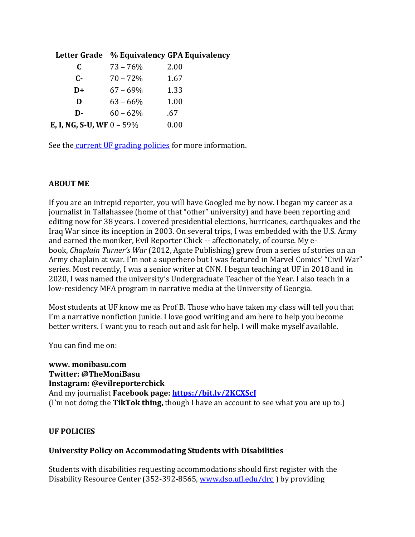|                                  |             | Letter Grade % Equivalency GPA Equivalency |
|----------------------------------|-------------|--------------------------------------------|
| C                                | $73 - 76%$  | 2.00                                       |
| $C-$                             | $70 - 72\%$ | 1.67                                       |
| $D+$                             | $67 - 69\%$ | 1.33                                       |
| D                                | $63 - 66\%$ | 1.00                                       |
| D-                               | $60 - 62%$  | .67                                        |
| <b>E, I, NG, S-U, WF</b> 0 – 59% |             | 0.00                                       |

See the [current UF grading policies](https://catalog.ufl.edu/ugrad/current/regulations/info/grades.aspx) for more information.

# **ABOUT ME**

If you are an intrepid reporter, you will have Googled me by now. I began my career as a journalist in Tallahassee (home of that "other" university) and have been reporting and editing now for 38 years. I covered presidential elections, hurricanes, earthquakes and the Iraq War since its inception in 2003. On several trips, I was embedded with the U.S. Army and earned the moniker, Evil Reporter Chick -- affectionately, of course. My ebook, *Chaplain Turner's War* (2012, Agate Publishing) grew from a series of stories on an Army chaplain at war. I'm not a superhero but I was featured in Marvel Comics' "Civil War" series. Most recently, I was a senior writer at CNN. I began teaching at UF in 2018 and in 2020, I was named the university's Undergraduate Teacher of the Year. I also teach in a low-residency MFA program in narrative media at the University of Georgia.

Most students at UF know me as Prof B. Those who have taken my class will tell you that I'm a narrative nonfiction junkie. I love good writing and am here to help you become better writers. I want you to reach out and ask for help. I will make myself available.

You can find me on:

**www. monibasu.com Twitter: @TheMoniBasu Instagram: @evilreporterchick** And my journalist **Facebook page:<https://bit.ly/2KCXScJ>** (I'm not doing the **TikTok thing,** though I have an account to see what you are up to.)

# **UF POLICIES**

# **University Policy on Accommodating Students with Disabilities**

Students with disabilities requesting accommodations should first register with the Disability Resource Center (352-392-8565[, www.dso.ufl.edu/drc](http://www.dso.ufl.edu/drc) ) by providing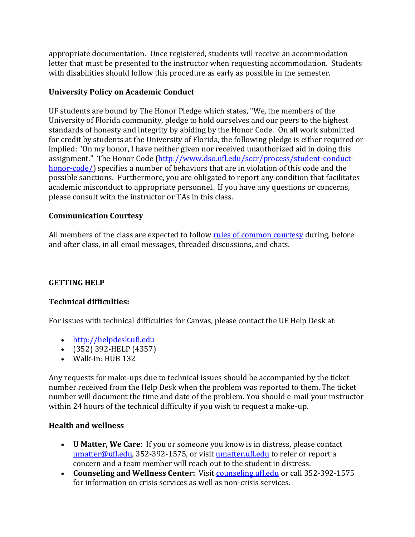appropriate documentation. Once registered, students will receive an accommodation letter that must be presented to the instructor when requesting accommodation. Students with disabilities should follow this procedure as early as possible in the semester.

# **University Policy on Academic Conduct**

UF students are bound by The Honor Pledge which states, "We, the members of the University of Florida community, pledge to hold ourselves and our peers to the highest standards of honesty and integrity by abiding by the Honor Code. On all work submitted for credit by students at the University of Florida, the following pledge is either required or implied: "On my honor, I have neither given nor received unauthorized aid in doing this assignment." The Honor Code [\(http://www.dso.ufl.edu/sccr/process/student-conduct](http://www.dso.ufl.edu/sccr/process/student-conduct-honor-code/)[honor-code/\)](http://www.dso.ufl.edu/sccr/process/student-conduct-honor-code/) specifies a number of behaviors that are in violation of this code and the possible sanctions. Furthermore, you are obligated to report any condition that facilitates academic misconduct to appropriate personnel. If you have any questions or concerns, please consult with the instructor or TAs in this class.

# **Communication Courtesy**

All members of the class are expected to follo[w rules of common courtesy](http://teach.ufl.edu/wp-content/uploads/2012/08/NetiquetteGuideforOnlineCourses.pdf) during, before and after class, in all email messages, threaded discussions, and chats.

# **GETTING HELP**

# **Technical difficulties:**

For issues with technical difficulties for Canvas, please contact the UF Help Desk at:

- [http://helpdesk.ufl.edu](http://helpdesk.ufl.edu/)
- (352) 392-HELP (4357)
- Walk-in: HUB 132

Any requests for make-ups due to technical issues should be accompanied by the ticket number received from the Help Desk when the problem was reported to them. The ticket number will document the time and date of the problem. You should e-mail your instructor within 24 hours of the technical difficulty if you wish to request a make-up.

# **Health and wellness**

- **U Matter, We Care**: If you or someone you know is in distress, please contact [umatter@ufl.edu,](mailto:umatter@ufl.edu) 352-392-1575, or visit [umatter.ufl.edu](http://umatter.ufl.edu/) to refer or report a concern and a team member will reach out to the student in distress.
- **Counseling and Wellness Center:** Visit [counseling.ufl.edu](http://counseling.ufl.edu/) or call 352-392-1575 for information on crisis services as well as non-crisis services.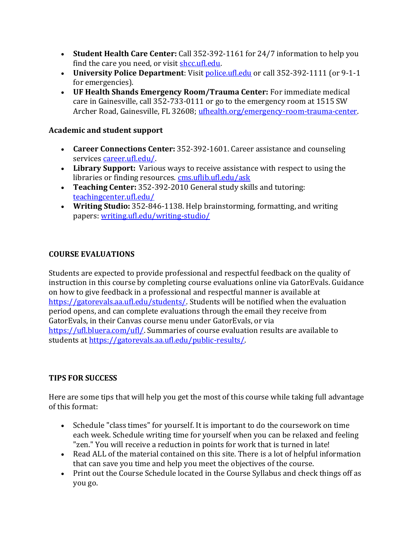- **Student Health Care Center:** Call 352-392-1161 for 24/7 information to help you find the care you need, or visit **shcc.ufl.edu.**
- **University Police Department**: Visit [police.ufl.edu](http://police.ufl.edu/) or call 352-392-1111 (or 9-1-1 for emergencies).
- **UF Health Shands Emergency Room/Trauma Center:** For immediate medical care in Gainesville, call 352-733-0111 or go to the emergency room at 1515 SW Archer Road, Gainesville, FL 32608; [ufhealth.org/emergency-room-trauma-center.](http://ufhealth.org/emergency-room-trauma-center)

# **Academic and student support**

- **Career Connections Center:** 352-392-1601. Career assistance and counseling services [career.ufl.edu/.](http://career.ufl.edu/)
- **Library Support:** Various ways to receive assistance with respect to using the libraries or finding resources. [cms.uflib.ufl.edu/ask](http://cms.uflib.ufl.edu/ask)
- **Teaching Center:** 352-392-2010 General study skills and tutoring: [teachingcenter.ufl.edu/](http://teachingcenter.ufl.edu/)
- **Writing Studio:** 352-846-1138. Help brainstorming, formatting, and writing papers: [writing.ufl.edu/writing-studio/](http://writing.ufl.edu/writing-studio/)

# **COURSE EVALUATIONS**

Students are expected to provide professional and respectful feedback on the quality of instruction in this course by completing course evaluations online via GatorEvals. Guidance on how to give feedback in a professional and respectful manner is available at [https://gatorevals.aa.ufl.edu/students/.](https://gatorevals.aa.ufl.edu/students/) Students will be notified when the evaluation period opens, and can complete evaluations through the email they receive from GatorEvals, in their Canvas course menu under GatorEvals, or via [https://ufl.bluera.com/ufl/.](https://urldefense.proofpoint.com/v2/url?u=https-3A__ufl.bluera.com_ufl_&d=DwMFAg&c=sJ6xIWYx-zLMB3EPkvcnVg&r=y2HjEMjRMHJhfdvLrqJZlYczRsfp5e4TfQjHuc5rVHg&m=WXko6OK_Ha6T00ZVAsEaSh99qRXHOgMNFRywCoehRho&s=itVU46DDJjnIg4CW6efJOOLgPjdzsPvCghyfzJoFONs&e=) Summaries of course evaluation results are available to students at [https://gatorevals.aa.ufl.edu/public-results/.](https://gatorevals.aa.ufl.edu/public-results/)

# **TIPS FOR SUCCESS**

Here are some tips that will help you get the most of this course while taking full advantage of this format:

- Schedule "class times" for yourself. It is important to do the coursework on time each week. Schedule writing time for yourself when you can be relaxed and feeling "zen." You will receive a reduction in points for work that is turned in late!
- Read ALL of the material contained on this site. There is a lot of helpful information that can save you time and help you meet the objectives of the course.
- Print out the Course Schedule located in the Course Syllabus and check things off as you go.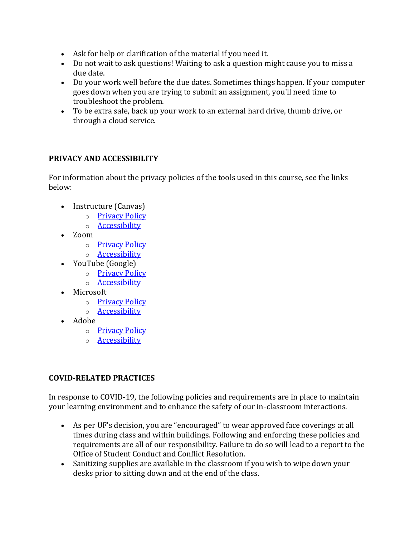- Ask for help or clarification of the material if you need it.
- Do not wait to ask questions! Waiting to ask a question might cause you to miss a due date.
- Do your work well before the due dates. Sometimes things happen. If your computer goes down when you are trying to submit an assignment, you'll need time to troubleshoot the problem.
- To be extra safe, back up your work to an external hard drive, thumb drive, or through a cloud service.

## **PRIVACY AND ACCESSIBILITY**

For information about the privacy policies of the tools used in this course, see the links below:

- Instructure (Canvas)
	- o [Privacy Policy](https://www.instructure.com/policies/privacy)
	- o [Accessibility](https://www.instructure.com/canvas/accessibility)
- Zoom
	- o [Privacy Policy](https://zoom.us/privacy)
	- o [Accessibility](https://zoom.us/accessibility)
- YouTube (Google)
	- o [Privacy Policy](https://policies.google.com/privacy)
	- o [Accessibility](https://support.google.com/youtube/answer/189278?hl=en)
- Microsoft
	- o [Privacy Policy](https://privacy.microsoft.com/en-us/privacystatement)
	- o [Accessibility](https://www.microsoft.com/en-us/accessibility/office?activetab=pivot_1%3aprimaryr2)
- Adobe
	- o [Privacy Policy](https://www.adobe.com/privacy/policy.html)
	- o [Accessibility](https://www.adobe.com/accessibility.html)

# **COVID-RELATED PRACTICES**

In response to COVID-19, the following policies and requirements are in place to maintain your learning environment and to enhance the safety of our in-classroom interactions.

- As per UF's decision, you are "encouraged" to wear approved face coverings at all times during class and within buildings. Following and enforcing these policies and requirements are all of our responsibility. Failure to do so will lead to a report to the Office of Student Conduct and Conflict Resolution.
- Sanitizing supplies are available in the classroom if you wish to wipe down your desks prior to sitting down and at the end of the class.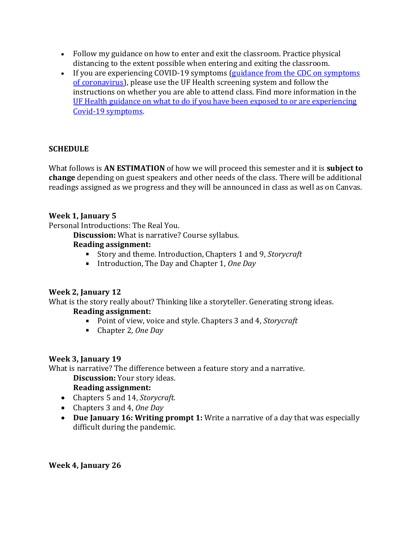- Follow my guidance on how to enter and exit the classroom. Practice physical distancing to the extent possible when entering and exiting the classroom.
- If you are experiencing COVID-19 symptoms (guidance from the CDC on symptoms [of coronavirus\)](https://www.cdc.gov/coronavirus/2019-ncov/symptoms-testing/symptoms.html), please use the UF Health screening system and follow the instructions on whether you are able to attend class. Find more information in the [UF Health guidance on what to do if you have been exposed to or are experiencing](https://coronavirus.ufhealth.org/screen-test-protect/covid-19-exposure-and-symptoms-who-do-i-call-if/)  [Covid-19 symptoms.](https://coronavirus.ufhealth.org/screen-test-protect/covid-19-exposure-and-symptoms-who-do-i-call-if/)

# **SCHEDULE**

What follows is **AN ESTIMATION** of how we will proceed this semester and it is **subject to change** depending on guest speakers and other needs of the class. There will be additional readings assigned as we progress and they will be announced in class as well as on Canvas.

## **Week 1, January 5**

Personal Introductions: The Real You.

**Discussion:** What is narrative? Course syllabus.

### **Reading assignment:**

- Story and theme. Introduction, Chapters 1 and 9, *Storycraft*
- Introduction, The Day and Chapter 1, *One Day*

# **Week 2, January 12**

What is the story really about? Thinking like a storyteller. Generating strong ideas.

### **Reading assignment:**

- Point of view, voice and style. Chapters 3 and 4, *Storycraft*
- Chapter 2, *One Day*

### **Week 3, January 19**

What is narrative? The difference between a feature story and a narrative.

#### **Discussion:** Your story ideas. **Reading assignment:**

- Chapters 5 and 14, *Storycraft.*
- Chapters 3 and 4, *One Day*
- **Due January 16: Writing prompt 1:** Write a narrative of a day that was especially difficult during the pandemic.

### **Week 4, January 26**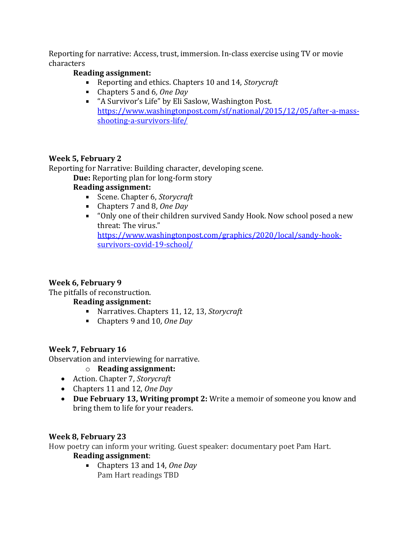Reporting for narrative: Access, trust, immersion. In-class exercise using TV or movie characters

# **Reading assignment:**

- Reporting and ethics. Chapters 10 and 14, *Storycraft*
- Chapters 5 and 6*, One Day*
- "A Survivor's Life" by Eli Saslow, Washington Post. [https://www.washingtonpost.com/sf/national/2015/12/05/after-a-mass](https://www.washingtonpost.com/sf/national/2015/12/05/after-a-mass-shooting-a-survivors-life/)[shooting-a-survivors-life/](https://www.washingtonpost.com/sf/national/2015/12/05/after-a-mass-shooting-a-survivors-life/)

# **Week 5, February 2**

Reporting for Narrative: Building character, developing scene.

**Due:** Reporting plan for long-form story

# **Reading assignment:**

- Scene. Chapter 6, *Storycraft*
- Chapters 7 and 8, *One Day*
- "Only one of their children survived Sandy Hook. Now school posed a new threat: The virus." [https://www.washingtonpost.com/graphics/2020/local/sandy-hook](https://www.washingtonpost.com/graphics/2020/local/sandy-hook-survivors-covid-19-school/)[survivors-covid-19-school/](https://www.washingtonpost.com/graphics/2020/local/sandy-hook-survivors-covid-19-school/)

# **Week 6, February 9**

The pitfalls of reconstruction.

# **Reading assignment:**

- Narratives. Chapters 11, 12, 13, *Storycraft*
- Chapters 9 and 10*, One Day*

# **Week 7, February 16**

Observation and interviewing for narrative.

- o **Reading assignment:**
- Action. Chapter 7, *Storycraft*
- Chapters 11 and 12, *One Day*
- **Due February 13, Writing prompt 2:** Write a memoir of someone you know and bring them to life for your readers.

# **Week 8, February 23**

How poetry can inform your writing. Guest speaker: documentary poet Pam Hart.

# **Reading assignment**:

Chapters 13 and 14, *One Day* Pam Hart readings TBD